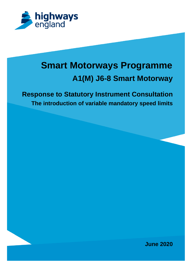

# **Smart Motorways Programme A1(M) J6-8 Smart Motorway**

# **Response to Statutory Instrument Consultation The introduction of variable mandatory speed limits**

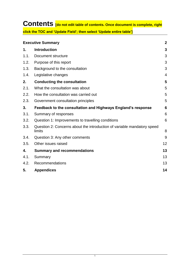# **Contents [do not edit table of contents. Once document is complete, right click the TOC and 'Update Field'; then select 'Update entire table']**

|      | <b>Executive Summary</b>                                                          | $\overline{2}$ |
|------|-----------------------------------------------------------------------------------|----------------|
| 1.   | <b>Introduction</b>                                                               | 3              |
| 1.1. | Document structure                                                                | 3              |
| 1.2. | Purpose of this report                                                            | 3              |
| 1.3. | Background to the consultation                                                    | 3              |
| 1.4. | Legislative changes                                                               | $\overline{4}$ |
| 2.   | <b>Conducting the consultation</b>                                                | 5              |
| 2.1. | What the consultation was about                                                   | 5              |
| 2.2. | How the consultation was carried out                                              | 5              |
| 2.3. | Government consultation principles                                                | 5              |
| 3.   | Feedback to the consultation and Highways England's response                      | 6              |
| 3.1. | Summary of responses                                                              | 6              |
| 3.2. | Question 1: Improvements to travelling conditions                                 | 6              |
| 3.3. | Question 2: Concerns about the introduction of variable mandatory speed<br>limits | 8              |
| 3.4. | Question 3: Any other comments                                                    | 9              |
| 3.5. | Other issues raised                                                               | 12             |
| 4.   | <b>Summary and recommendations</b>                                                | 13             |
| 4.1. | Summary                                                                           | 13             |
| 4.2. | Recommendations                                                                   | 13             |
| 5.   | <b>Appendices</b>                                                                 | 14             |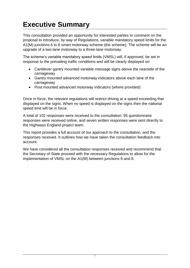# <span id="page-2-0"></span>**Executive Summary**

This consultation provided an opportunity for interested parties to comment on the proposal to introduce, by way of Regulations, variable mandatory speed limits for the A1(M) junctions 6 to 8 smart motorway scheme (the scheme). The scheme will be an upgrade of a two-lane motorway to a three-lane motorway.

The scheme's variable mandatory speed limits (VMSL) will, if approved, be set in response to the prevailing traffic conditions and will be clearly displayed on:

- Cantilever gantry mounted variable message signs above the nearside of the carriageway
- Gantry mounted advanced motorway indicators above each lane of the carriageway
- Post mounted advanced motorway indicators (where provided)

Once in force, the relevant regulations will restrict driving at a speed exceeding that displayed on the signs. When no speed is displayed on the signs then the national speed limit will be in force.

A total of 102 responses were received to the consultation: 95 questionnaire responses were received online, and seven written responses were sent directly to the Highways England project team.

This report provides a full account of our approach to the consultation, and the responses received. It outlines how we have taken the consultation feedback into account.

We have considered all the consultation responses received and recommend that the Secretary of State proceed with the necessary Regulations to allow for the implementation of VMSL on the A1(M) between junctions 6 and 8.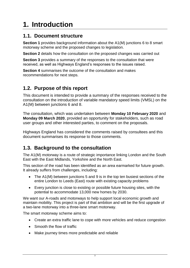# <span id="page-3-0"></span>**1. Introduction**

## <span id="page-3-1"></span>**1.1. Document structure**

**Section 1** provides background information about the A1(M) junctions 6 to 8 smart motorway scheme and the proposed changes to legislation.

**Section 2** details how the consultation on the proposed changes was carried out

**Section 3** provides a summary of the responses to the consultation that were received, as well as Highways England's responses to the issues raised.

**Section 4** summarises the outcome of the consultation and makes recommendations for next steps.

## <span id="page-3-2"></span>**1.2. Purpose of this report**

This document is intended to provide a summary of the responses received to the consultation on the introduction of variable mandatory speed limits (VMSL) on the A1(M) between junctions 6 and 8.

The consultation, which was undertaken between **Monday 10 February 2020** and **Monday 09 March 2020**, provided an opportunity for stakeholders, such as road user groups and other interested parties, to comment on the proposals.

Highways England has considered the comments raised by consultees and this document summarises its response to those comments.

## <span id="page-3-3"></span>**1.3. Background to the consultation**

The A1(M) motorway is a route of strategic importance linking London and the South East with the East Midlands, Yorkshire and the North East.

This section of the road has been identified as an area earmarked for future growth. It already suffers from challenges, including:

- The A1(M) between junctions 5 and 9 is in the top ten busiest sections of the entire London to Leeds (East) route with existing capacity problems
- Every junction is close to existing or possible future housing sites, with the potential to accommodate 13,000 new homes by 2030.

We want our A-roads and motorways to help support local economic growth and maintain mobility. This project is part of that ambition and will be the first upgrade of a two-lane motorway into a three-lane smart motorway.

The smart motorway scheme aims to:

- Create an extra traffic lane to cope with more vehicles and reduce congestion
- Smooth the flow of traffic
- Make journey times more predictable and reliable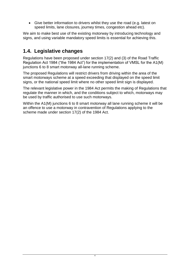• Give better information to drivers whilst they use the road (e.g. latest on speed limits, lane closures, journey times, congestion ahead etc).

We aim to make best use of the existing motorway by introducing technology and signs, and using variable mandatory speed limits is essential for achieving this.

## <span id="page-4-0"></span>**1.4. Legislative changes**

Regulations have been proposed under section 17(2) and (3) of the Road Traffic Regulation Act 1984 ("the 1984 Act") for the implementation of VMSL for the A1(M) junctions 6 to 8 smart motorway all-lane running scheme.

The proposed Regulations will restrict drivers from driving within the area of the smart motorways scheme at a speed exceeding that displayed on the speed limit signs, or the national speed limit where no other speed limit sign is displayed.

The relevant legislative power in the 1984 Act permits the making of Regulations that regulate the manner in which, and the conditions subject to which, motorways may be used by traffic authorised to use such motorways.

Within the A1(M) junctions 6 to 8 smart motorway all lane running scheme it will be an offence to use a motorway in contravention of Regulations applying to the scheme made under section 17(2) of the 1984 Act.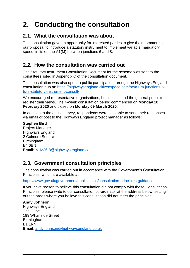# <span id="page-5-0"></span>**2. Conducting the consultation**

## <span id="page-5-1"></span>**2.1. What the consultation was about**

The consultation gave an opportunity for interested parties to give their comments on our proposal to introduce a statutory instrument to implement variable mandatory speed limits on the A1(M) between junctions 6 and 8.

## <span id="page-5-2"></span>**2.2. How the consultation was carried out**

The Statutory Instrument Consultation Document for the scheme was sent to the consultees listed in Appendix C of the consultation document.

The consultation was also open to public participation through the Highways England consultation hub at: [https://highwaysengland.citizenspace.com/he/a1-m-junctions-6](https://highwaysengland.citizenspace.com/he/a1-m-junctions-6-to-8-statutory-instrument-consult/) [to-8-statutory-instrument-consult/](https://highwaysengland.citizenspace.com/he/a1-m-junctions-6-to-8-statutory-instrument-consult/)

We encouraged representative organisations, businesses and the general public to register their views. The 4-week consultation period commenced on **Monday 10 February 2020** and closed on **Monday 09 March 2020**.

In addition to the online survey, respondents were also able to send their responses via email or post to the Highways England project manager as follows:

**Stephen Bird** Project Manager Highways England 2 Colmore Square **Birmingham** B4 6BN **Email:** [A1MJ6-8@highwaysengland.co.uk](mailto:A1MJ6-8@highwaysengland.co.uk)

## <span id="page-5-3"></span>**2.3. Government consultation principles**

The consultation was carried out in accordance with the Government's Consultation Principles, which are available at:

<https://www.gov.uk/government/publications/consultation-principles-guidance>

If you have reason to believe this consultation did not comply with these Consultation Principles, please write to our consultation co-ordinator at the address below, setting out the areas where you believe this consultation did not meet the principles:

**Andy Johnson** Highways England The Cube 199 Wharfside Street Birmingham B1 1RN **Email**: [andy.johnson@highwaysengland.co.uk](mailto:andy.johnson@highwaysengland.co.uk)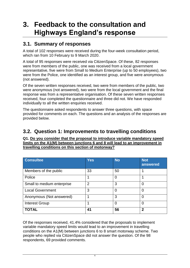# <span id="page-6-0"></span>**3. Feedback to the consultation and Highways England's response**

## <span id="page-6-1"></span>**3.1. Summary of responses**

A total of 102 responses were received during the four-week consultation period, which ran from 10 February to 9 March 2020.

A total of 95 responses were received via CitizenSpace. Of these, 82 responses were from members of the public, one was received from a local government representative, five were from Small to Medium Enterprise (up to 50 employees), two were from the Police, one identified as an interest group, and five were anonymous (not answered).

Of the seven written responses received, two were from members of the public, two were anonymous (not answered), two were from the local government and the final response was from a representative organisation. Of these seven written responses received, four completed the questionnaire and three did not. We have responded individually to all the written enquiries received.

The questionnaire asked respondents to answer three questions, with space provided for comments on each. The questions and an analysis of the responses are provided below.

## <span id="page-6-2"></span>**3.2. Question 1: Improvements to travelling conditions**

#### **Q1. Do you consider that the proposal to introduce variable mandatory speed limits on the A1(M) between junctions 6 and 8 will lead to an improvement in travelling conditions on this section of motorway?**

| <b>Consultee</b>           | <b>Yes</b>     | <b>No</b>      | Not<br>answered |
|----------------------------|----------------|----------------|-----------------|
| Members of the public      | 33             | 50             |                 |
| Police                     |                | $\overline{0}$ |                 |
| Small to medium enterprise | $\overline{2}$ | 3              | 0               |
| <b>Local Government</b>    | 3              | 0              | 0               |
| Anonymous (Not answered)   |                | 3              | 0               |
| <b>Interest Group</b>      |                | 0              | 0               |
| <b>TOTAL</b>               | 41             | 56             | 2               |

Of the responses received, 41.4% considered that the proposals to implement variable mandatory speed limits would lead to an improvement in travelling conditions on the A1(M) between junctions 6 to 8 smart motorway scheme. Two people who replied via CitizenSpace did not answer the question. Of the 98 respondents, 69 provided comments.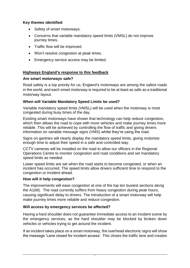## **Key themes identified**

- Safety of smart motorways.
- Concerns that variable mandatory speed limits (VMSL) do not improve journey times.
- Traffic flow will be improved.
- Won't resolve congestion at peak times.
- Emergency service access may be limited.

## **Highways England's response to this feedback**

#### **Are smart motorways safe?**

Road safety is a top priority for us; England's motorways are among the safest roads in the world, and each smart motorway is required to be at least as safe as a traditional motorway layout.

### **When will Variable Mandatory Speed Limits be used?**

Variable mandatory speed limits (VMSL) will be used when the motorway is most congested during busy times of the day.

Existing smart motorways have shown that technology can help reduce congestion, which then allows the road to cope with more vehicles and make journey times more reliable. This will be achieved by controlling the flow of traffic and giving drivers information on variable message signs (VMS) whilst they're using the road.

Signs on gantries will clearly display the mandatory speed limits, giving motorists enough time to adjust their speed in a safe and controlled way.

CCTV cameras will be installed on the road to allow our officers in the Regional Operations Centre to monitor congestion and road conditions and set mandatory speed limits as needed.

Lower speed limits are set when the road starts to become congested, or when an incident has occurred. The speed limits allow drivers sufficient time to respond to the congestion or incident ahead.

### **How will it help congestion?**

The improvements will ease congestion at one of the top ten busiest sections along the A1(M). The road currently suffers from heavy congestion during peak hours, causing significant delay to drivers. The introduction of a smart motorway will help make journey times more reliable and reduce congestion.

### **Will access by emergency services be affected?**

Having a hard shoulder does not guarantee immediate access to an incident scene by the emergency services, as the hard shoulder may be blocked by broken down vehicles or vehicles trying to get around the incident.

If an incident takes place on a smart motorway, the overhead electronic signs will show the message 'Lane closed for incident access'. This closes the traffic lane and creates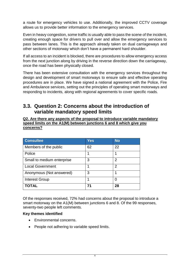a route for emergency vehicles to use. Additionally, the improved CCTV coverage allows us to provide better information to the emergency services.

Even in heavy congestion, some traffic is usually able to pass the scene of the incident, creating enough space for drivers to pull over and allow the emergency services to pass between lanes. This is the approach already taken on dual carriageways and other sections of motorway which don't have a permanent hard shoulder.

If all access to an incident is blocked, there are procedures to allow emergency access from the next junction along by driving in the reverse direction down the carriageway, once the road has been physically closed.

There has been extensive consultation with the emergency services throughout the design and development of smart motorways to ensure safe and effective operating procedures are in place. We have signed a national agreement with the Police, Fire and Ambulance services, setting out the principles of operating smart motorways and responding to incidents, along with regional agreements to cover specific roads.

## <span id="page-8-0"></span>**3.3. Question 2: Concerns about the introduction of variable mandatory speed limits**

#### **Q2. Are there any aspects of the proposal to introduce variable mandatory speed limits on the A1(M) between junctions 6 and 8 which give you concerns?**

| <b>Consultee</b>           | Yes | <b>No</b>      |
|----------------------------|-----|----------------|
| Members of the public      | 62  | 22             |
| Police                     |     |                |
| Small to medium enterprise | 3   | 2              |
| <b>Local Government</b>    |     | $\overline{2}$ |
| Anonymous (Not answered)   | 3   | 1              |
| <b>Interest Group</b>      |     | 0              |
| <b>TOTAL</b>               | 71  | 28             |

Of the responses received, 72% had concerns about the proposal to introduce a smart motorway on the A1(M) between junctions 6 and 8. Of the 99 responses, seventy-two people left comments.

### **Key themes identified**

- Environmental concerns.
- People not adhering to variable speed limits.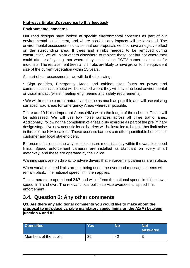### **Highways England's response to this feedback**

#### **Environmental concerns**

Our road designs have looked at specific environmental concerns as part of our environmental assessment, and where possible any impacts will be lessened. The environmental assessment indicates that our proposals will not have a negative effect on the surrounding area. If trees and shrubs needed to be removed during construction, we will plant others elsewhere to replace those lost but not where they could affect safety, e.g. not where they could block CCTV cameras or signs for motorists. The replacement trees and shrubs are likely to have grown to the equivalent size of the current vegetation within 15 years.

As part of our assessments, we will do the following:

• Sign gantries, Emergency Areas and cabinet sites (such as power and communications cabinets) will be located where they will have the least environmental or visual impact (whilst meeting engineering and safety requirements).

• We will keep the current natural landscape as much as possible and will use existing surfaced road areas for Emergency Areas wherever possible.

There are 10 Noise Important Areas (NIA) within the length of the scheme. These will be addressed. We will use low noise surfaces across all three traffic lanes. Additionally, following the completion of a feasibility exercise as part of the preliminary design stage, five new acoustic fence barriers will be installed to help further limit noise in three of the NIA locations. These acoustic barriers can offer quantifiable benefits for customer and local stakeholders.

Enforcement is one of the ways to help ensure motorists stay within the variable speed limits. Speed enforcement cameras are installed as standard on every smart motorway, and these are operated by the Police.

Warning signs are on display to advise drivers that enforcement cameras are in place.

When variable speed limits are not being used, the overhead message screens will remain blank. The national speed limit then applies.

The cameras are operational 24/7 and will enforce the national speed limit if no lower speed limit is shown. The relevant local police service oversees all speed limit enforcement.

## <span id="page-9-0"></span>**3.4. Question 3: Any other comments**

**Q3. Are there any additional comments you would like to make about the proposal to introduce variable mandatory speed limits on the A1(M) between junction 6 and 8?**

| <b>Consultee</b>      | Yesl | No | Not<br><b>answered</b> |
|-----------------------|------|----|------------------------|
| Members of the public | 39   | 42 | u                      |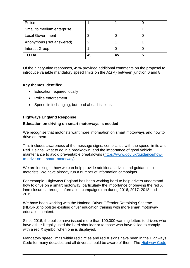| Police                     |    |    |   |
|----------------------------|----|----|---|
| Small to medium enterprise |    |    |   |
| <b>Local Government</b>    |    |    |   |
| Anonymous (Not answered)   |    |    |   |
| <b>Interest Group</b>      |    |    |   |
| <b>TOTAL</b>               | 49 | 45 | 5 |

Of the ninety-nine responses, 49% provided additional comments on the proposal to introduce variable mandatory speed limits on the A1(M) between junction 6 and 8.

### **Key themes identified**

- Education required locally
- Police enforcement
- Speed limit changing, but road ahead is clear.

### **Highways England Response**

### **Education on driving on smart motorways is needed**

We recognise that motorists want more information on smart motorways and how to drive on them.

This includes awareness of the message signs, compliance with the speed limits and Red X signs, what to do in a breakdown, and the importance of good vehicle maintenance to avoid preventable breakdowns [\(https://www.gov.uk/guidance/how](http://www.gov.uk/guidance/how-to-drive-on-a-smart-motorway)[to-drive-on-a-smart-motorway\)](http://www.gov.uk/guidance/how-to-drive-on-a-smart-motorway).

We are looking at how we can help provide additional advice and guidance to motorists. We have already run a number of information campaigns.

For example, Highways England has been working hard to help drivers understand how to drive on a smart motorway, particularly the importance of obeying the red X lane closures, through information campaigns run during 2016, 2017, 2018 and 2019.

We have been working with the National Driver Offender Retraining Scheme (NDORS) to bolster existing driver education training with more smart motorway education content.

Since 2016, the police have issued more than 190,000 warning letters to drivers who have either illegally used the hard shoulder or to those who have failed to comply with a red X symbol when one is displayed.

Mandatory speed limits within red circles and red X signs have been in the Highways Code for many decades and all drivers should be aware of them. The [Highway Code](https://www.gov.uk/guidance/the-highway-code/motorways-253-to-273)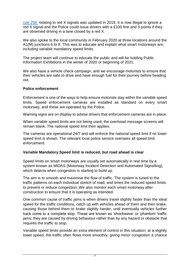[rule 258](https://www.gov.uk/guidance/the-highway-code/motorways-253-to-273) relating to red X signals was updated in 2019. It is now illegal to ignore a red X signal and the Police could issue drivers with a £100 fine and 3 points if they are observed driving in a lane closed by a red X.

We also spoke to the local community in February 2020 at three locations around the A1(M) junctions 6 to 8. This was to educate and explain what smart motorways are, including variable mandatory speed limits.

The project team will continue to educate the public and will be holding Public Information Exhibitions in the winter of 2020 or beginning of 2021.

We also have a vehicle check campaign, and we encourage motorists to ensure that their vehicles are safe to drive and have enough fuel for their journey before heading out.

#### **Police enforcement**

Enforcement is one of the ways to help ensure motorists stay within the variable speed limits. Speed enforcement cameras are installed as standard on every smart motorway, and these are operated by the Police.

Warning signs are on display to advise drivers that enforcement cameras are in place.

When variable speed limits are not being used, the overhead message screens will remain blank. The national speed limit then applies.

The cameras are operational 24/7 and will enforce the national speed limit if no lower speed limit is shown. The relevant local police service oversees all speed limit enforcement.

### **Variable Mandatory Speed limit is reduced, but road ahead is clear**

Speed limits on smart motorways are usually set automatically in real time by a system known as MIDAS (Motorway Incident Detection and Automated Signalling), which detects when congestion is starting to build up.

The aim is to smooth and maximise the flow of traffic. The system is tuned to the traffic patterns on each individual stretch of road, and times the reduced speed limits to prevent or reduce congestion. We also monitor each smart motorway after construction to ensure that it is operating as intended.

One common cause of traffic jams is when drivers travel slightly faster than the ideal speed for the traffic conditions, catch up with vehicles ahead of them and then brake, causing those behind them to brake slightly harder, until eventually vehicles further back come to a complete stop. These are known as 'shockwave' or 'phantom' traffic jams; they are caused by driving behaviour rather than by any hazard or obstacle that requires the traffic to stop.

Variable speed limits provide an extra element of control in this situation; at a slightly lower speed, the traffic often flows more smoothly, giving minor congestion a chance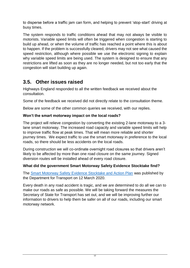to disperse before a traffic jam can form, and helping to prevent 'stop-start' driving at busy times.

The system responds to traffic conditions ahead that may not always be visible to motorists. Variable speed limits will often be triggered when congestion is starting to build up ahead, or when the volume of traffic has reached a point where this is about to happen. If the problem is successfully cleared, drivers may not see what caused the speed restriction, although where possible we use the electronic signing to explain why variable speed limits are being used. The system is designed to ensure that any restrictions are lifted as soon as they are no longer needed, but not too early that the congestion will start building up again.

## <span id="page-12-0"></span>**3.5. Other issues raised**

Highways England responded to all the written feedback we received about the consultation.

Some of the feedback we received did not directly relate to the consultation theme.

Below are some of the other common queries we received, with our replies.

## **Won't the smart motorway impact on the local roads?**

The project will relieve congestion by converting the existing 2-lane motorway to a 3 lane smart motorway. The increased road capacity and variable speed limits will help to improve traffic flow at peak times. That will mean more reliable and shorter journey times. We expect traffic to use the smart motorway in preference to the local roads, so there should be less accidents on the local roads.

During construction we will co-ordinate overnight road closures so that drivers aren't likely to be affected by more than one road closure on the same journey. Signed diversion routes will be installed ahead of every road closure.

## **What did the government Smart Motorway Safety Evidence Stocktake find?**

The [Smart Motorway Safety Evidence Stocktake and Action Plan](https://www.gov.uk/government/publications/smart-motorway-evidence-stocktake-and-action-plan) was published by the Department for Transport on 12 March 2020.

Every death in any road accident is tragic, and we are determined to do all we can to make our roads as safe as possible. We will be taking forward the measures the Secretary of State for Transport has set out, and we will be improving further our information to drivers to help them be safer on all of our roads, including our smart motorway network.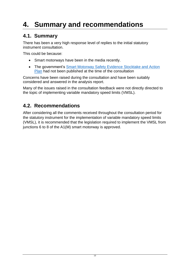# <span id="page-13-0"></span>**4. Summary and recommendations**

## <span id="page-13-1"></span>**4.1. Summary**

There has been a very high response level of replies to the initial statutory instrument consultation.

This could be because:

- Smart motorways have been in the media recently.
- The government's Smart Motorway Safety Evidence Stocktake and Action [Plan](https://www.gov.uk/government/publications/smart-motorway-evidence-stocktake-and-action-plan) had not been published at the time of the consultation

Concerns have been raised during the consultation and have been suitably considered and answered in the analysis report.

Many of the issues raised in the consultation feedback were not directly directed to the topic of implementing variable mandatory speed limits (VMSL).

## <span id="page-13-2"></span>**4.2. Recommendations**

After considering all the comments received throughout the consultation period for the statutory instrument for the implementation of variable mandatory speed limits (VMSL), it is recommended that the legislation required to implement the VMSL from junctions 6 to 8 of the A1(M) smart motorway is approved.